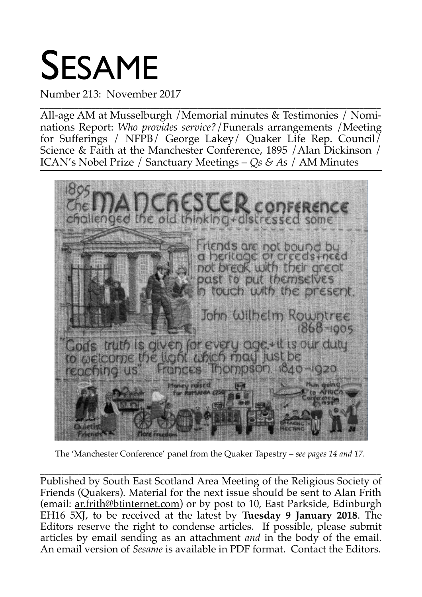# SESAME

Number 213: November 2017

\_\_\_\_\_\_\_\_\_\_\_\_\_\_\_\_\_\_\_\_\_\_\_\_\_\_\_\_\_\_\_\_\_\_\_\_\_\_\_\_\_\_\_\_\_\_\_\_\_\_\_\_\_\_\_\_\_\_\_\_\_\_\_\_\_\_\_\_\_\_\_\_\_\_\_\_\_\_\_\_ All-age AM at Musselburgh /Memorial minutes & Testimonies / Nominations Report: *Who provides service?*/Funerals arrangements /Meeting for Sufferings / NFPB/ George Lakey/ Quaker Life Rep. Council/ Science & Faith at the Manchester Conference, 1895 /Alan Dickinson / ICAN's Nobel Prize / Sanctuary Meetings – *Qs & As* / AM Minutes



The 'Manchester Conference' panel from the Quaker Tapestry – *see pages 14 and 17*.

\_\_\_\_\_\_\_\_\_\_\_\_\_\_\_\_\_\_\_\_\_\_\_\_\_\_\_\_\_\_\_\_\_\_\_\_\_\_\_\_\_\_\_\_\_\_\_\_\_\_\_\_\_\_\_\_\_\_\_\_\_\_\_\_\_\_\_\_\_\_\_\_\_\_\_\_\_\_\_\_ Published by South East Scotland Area Meeting of the Religious Society of Friends (Quakers). Material for the next issue should be sent to Alan Frith (email: ar.frith@btinternet.com) or by post to 10, East Parkside, Edinburgh EH16 5XJ, to be received at the latest by **Tuesday 9 January 2018**. The Editors reserve the right to condense articles. If possible, please submit articles by email sending as an attachment *and* in the body of the email. An email version of *Sesame* is available in PDF format. Contact the Editors.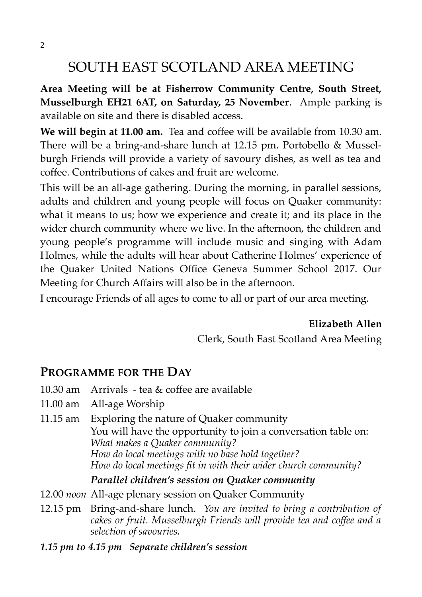## SOUTH EAST SCOTLAND AREA MEETING

**Area Meeting will be at Fisherrow Community Centre, South Street, Musselburgh EH21 6AT, on Saturday, 25 November**. Ample parking is available on site and there is disabled access.

**We will begin at 11.00 am.** Tea and coffee will be available from 10.30 am. There will be a bring-and-share lunch at 12.15 pm. Portobello & Musselburgh Friends will provide a variety of savoury dishes, as well as tea and coffee. Contributions of cakes and fruit are welcome.

This will be an all-age gathering. During the morning, in parallel sessions, adults and children and young people will focus on Quaker community: what it means to us; how we experience and create it; and its place in the wider church community where we live. In the afternoon, the children and young people's programme will include music and singing with Adam Holmes, while the adults will hear about Catherine Holmes' experience of the Quaker United Nations Office Geneva Summer School 2017. Our Meeting for Church Affairs will also be in the afternoon.

I encourage Friends of all ages to come to all or part of our area meeting.

**Elizabeth Allen**

Clerk, South East Scotland Area Meeting

## **PROGRAMME FOR THE DAY**

- 10.30 am Arrivals tea & coffee are available
- 11.00 am All-age Worship
- 11.15 am Exploring the nature of Quaker community You will have the opportunity to join a conversation table on: *What makes a Quaker community? How do local meetings with no base hold together? How do local meetings fit in with their wider church community?*

## *Parallel children's session on Quaker community*

- 12.00 *noon* All-age plenary session on Quaker Community
- 12.15 pm Bring-and-share lunch. *You are invited to bring a contribution of cakes or fruit. Musselburgh Friends will provide tea and coffee and a selection of savouries.*
- *1.15 pm to 4.15 pm Separate children's session*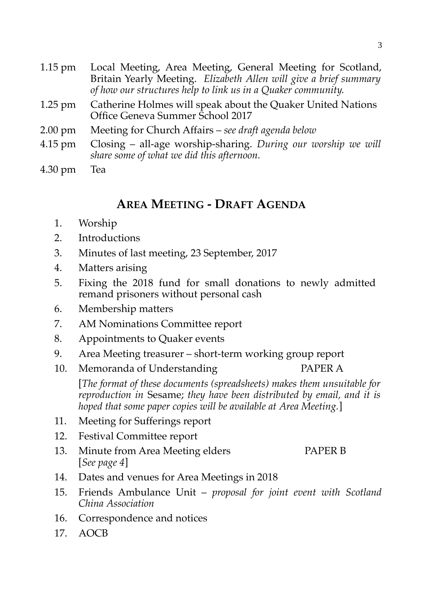- 1.15 pm Local Meeting, Area Meeting, General Meeting for Scotland, Britain Yearly Meeting. *Elizabeth Allen will give a brief summary of how our structures help to link us in a Quaker community.*
- 1.25 pm Catherine Holmes will speak about the Quaker United Nations Office Geneva Summer School 2017
- 2.00 pm Meeting for Church Affairs *see draft agenda below*
- 4.15 pm Closing all-age worship-sharing. *During our worship we will share some of what we did this afternoon.*
- 4.30 pm Tea

#### **AREA MEETING - DRAFT AGENDA**

- 1. Worship
- 2. Introductions
- 3. Minutes of last meeting, 23 September, 2017
- 4. Matters arising
- 5. Fixing the 2018 fund for small donations to newly admitted remand prisoners without personal cash
- 6. Membership matters
- 7. AM Nominations Committee report
- 8. Appointments to Quaker events
- 9. Area Meeting treasurer short-term working group report
- 10. Memoranda of Understanding PAPER A [*The format of these documents (spreadsheets) makes them unsuitable for reproduction in* Sesame; *they have been distributed by email, and it is hoped that some paper copies will be available at Area Meeting.*]
- 11. Meeting for Sufferings report
- 12. Festival Committee report
- 13. Minute from Area Meeting elders PAPER B [*See page 4*]
- 14. Dates and venues for Area Meetings in 2018
- 15. Friends Ambulance Unit *proposal for joint event with Scotland China Association*
- 16. Correspondence and notices
- 17. AOCB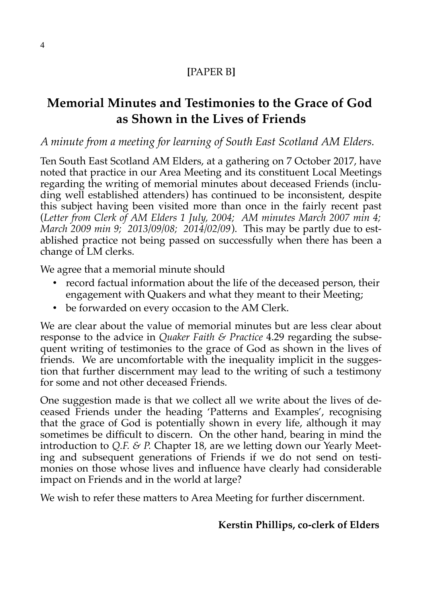## **[**PAPER B**]**

## **Memorial Minutes and Testimonies to the Grace of God as Shown in the Lives of Friends**

#### *A minute from a meeting for learning of South East Scotland AM Elders.*

Ten South East Scotland AM Elders, at a gathering on 7 October 2017, have noted that practice in our Area Meeting and its constituent Local Meetings regarding the writing of memorial minutes about deceased Friends (including well established attenders) has continued to be inconsistent, despite this subject having been visited more than once in the fairly recent past (*Letter from Clerk of AM Elders 1 July, 2004; AM minutes March 2007 min 4; March 2009 min 9; 2013/09/08; 2014/02/09*). This may be partly due to established practice not being passed on successfully when there has been a change of LM clerks.

We agree that a memorial minute should

- record factual information about the life of the deceased person, their engagement with Quakers and what they meant to their Meeting;
- be forwarded on every occasion to the AM Clerk.

We are clear about the value of memorial minutes but are less clear about response to the advice in *Quaker Faith & Practice* 4.29 regarding the subsequent writing of testimonies to the grace of God as shown in the lives of friends. We are uncomfortable with the inequality implicit in the suggestion that further discernment may lead to the writing of such a testimony for some and not other deceased Friends.

One suggestion made is that we collect all we write about the lives of deceased Friends under the heading 'Patterns and Examples', recognising that the grace of God is potentially shown in every life, although it may sometimes be difficult to discern. On the other hand, bearing in mind the introduction to *Q.F. & P.* Chapter 18, are we letting down our Yearly Meeting and subsequent generations of Friends if we do not send on testimonies on those whose lives and influence have clearly had considerable impact on Friends and in the world at large?

We wish to refer these matters to Area Meeting for further discernment.

#### **Kerstin Phillips, co-clerk of Elders**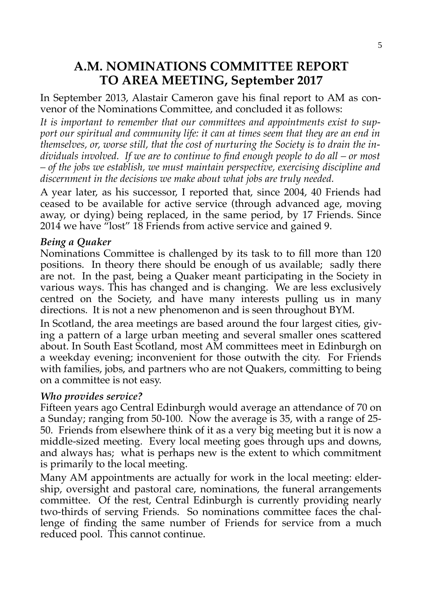## **A.M. NOMINATIONS COMMITTEE REPORT TO AREA MEETING, September 2017**

In September 2013, Alastair Cameron gave his final report to AM as convenor of the Nominations Committee, and concluded it as follows:

*It is important to remember that our committees and appointments exist to support our spiritual and community life: it can at times seem that they are an end in themselves, or, worse still, that the cost of nurturing the Society is to drain the individuals involved. If we are to continue to find enough people to do all – or most – of the jobs we establish, we must maintain perspective, exercising discipline and discernment in the decisions we make about what jobs are truly needed.*

A year later, as his successor, I reported that, since 2004, 40 Friends had ceased to be available for active service (through advanced age, moving away, or dying) being replaced, in the same period, by 17 Friends. Since 2014 we have "lost" 18 Friends from active service and gained 9.

#### *Being a Quaker*

Nominations Committee is challenged by its task to to fill more than 120 positions. In theory there should be enough of us available; sadly there are not. In the past, being a Quaker meant participating in the Society in various ways. This has changed and is changing. We are less exclusively centred on the Society, and have many interests pulling us in many directions. It is not a new phenomenon and is seen throughout BYM.

In Scotland, the area meetings are based around the four largest cities, giving a pattern of a large urban meeting and several smaller ones scattered about. In South East Scotland, most AM committees meet in Edinburgh on a weekday evening; inconvenient for those outwith the city. For Friends with families, jobs, and partners who are not Quakers, committing to being on a committee is not easy.

#### *Who provides service?*

Fifteen years ago Central Edinburgh would average an attendance of 70 on a Sunday; ranging from 50-100. Now the average is 35, with a range of 25- 50. Friends from elsewhere think of it as a very big meeting but it is now a middle-sized meeting. Every local meeting goes through ups and downs, and always has; what is perhaps new is the extent to which commitment is primarily to the local meeting.

Many AM appointments are actually for work in the local meeting: eldership, oversight and pastoral care, nominations, the funeral arrangements committee. Of the rest, Central Edinburgh is currently providing nearly two-thirds of serving Friends. So nominations committee faces the challenge of finding the same number of Friends for service from a much reduced pool. This cannot continue.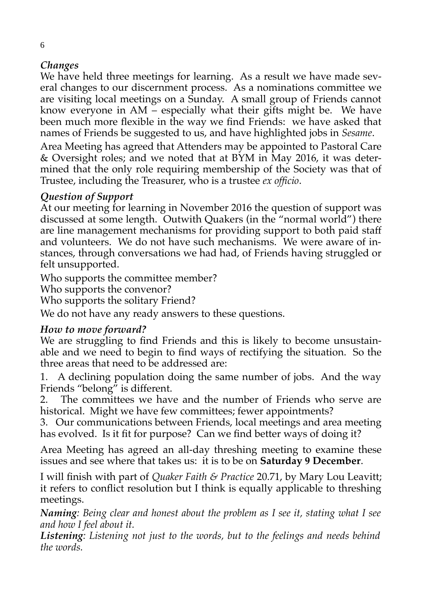#### *Changes*

We have held three meetings for learning. As a result we have made several changes to our discernment process. As a nominations committee we are visiting local meetings on a Sunday. A small group of Friends cannot know everyone in AM – especially what their gifts might be. We have been much more flexible in the way we find Friends: we have asked that names of Friends be suggested to us, and have highlighted jobs in *Sesame*.

Area Meeting has agreed that Attenders may be appointed to Pastoral Care & Oversight roles; and we noted that at BYM in May 2016, it was determined that the only role requiring membership of the Society was that of Trustee, including the Treasurer, who is a trustee *ex officio*.

#### *Question of Support*

At our meeting for learning in November 2016 the question of support was discussed at some length. Outwith Quakers (in the "normal world") there are line management mechanisms for providing support to both paid staff and volunteers. We do not have such mechanisms. We were aware of instances, through conversations we had had, of Friends having struggled or felt unsupported.

Who supports the committee member?

Who supports the convenor?

Who supports the solitary Friend?

We do not have any ready answers to these questions.

#### *How to move forward?*

We are struggling to find Friends and this is likely to become unsustainable and we need to begin to find ways of rectifying the situation. So the three areas that need to be addressed are:

1. A declining population doing the same number of jobs. And the way Friends "belong" is different.

2. The committees we have and the number of Friends who serve are historical. Might we have few committees; fewer appointments?

3. Our communications between Friends, local meetings and area meeting has evolved. Is it fit for purpose? Can we find better ways of doing it?

Area Meeting has agreed an all-day threshing meeting to examine these issues and see where that takes us: it is to be on **Saturday 9 December**.

I will finish with part of *Quaker Faith & Practice* 20.71, by Mary Lou Leavitt; it refers to conflict resolution but I think is equally applicable to threshing meetings.

*Naming: Being clear and honest about the problem as I see it, stating what I see and how I feel about it.*

*Listening: Listening not just to the words, but to the feelings and needs behind the words.*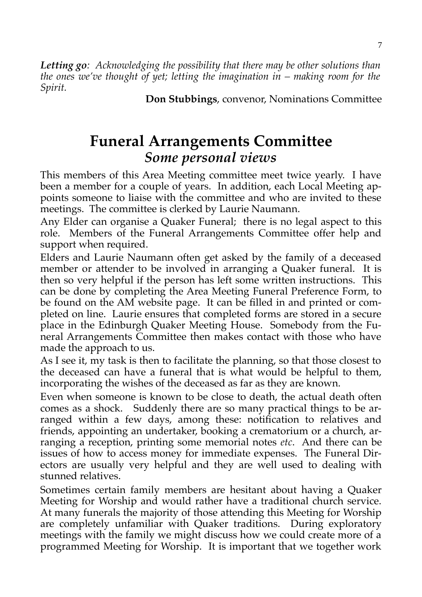*Letting go: Acknowledging the possibility that there may be other solutions than the ones we've thought of yet; letting the imagination in – making room for the Spirit.*

**Don Stubbings**, convenor, Nominations Committee

## **Funeral Arrangements Committee** *Some personal views*

This members of this Area Meeting committee meet twice yearly. I have been a member for a couple of years. In addition, each Local Meeting appoints someone to liaise with the committee and who are invited to these meetings. The committee is clerked by Laurie Naumann.

Any Elder can organise a Quaker Funeral; there is no legal aspect to this role. Members of the Funeral Arrangements Committee offer help and support when required.

Elders and Laurie Naumann often get asked by the family of a deceased member or attender to be involved in arranging a Quaker funeral. It is then so very helpful if the person has left some written instructions. This can be done by completing the Area Meeting Funeral Preference Form, to be found on the AM website page. It can be filled in and printed or completed on line. Laurie ensures that completed forms are stored in a secure place in the Edinburgh Quaker Meeting House. Somebody from the Funeral Arrangements Committee then makes contact with those who have made the approach to us.

As I see it, my task is then to facilitate the planning, so that those closest to the deceased can have a funeral that is what would be helpful to them, incorporating the wishes of the deceased as far as they are known.

Even when someone is known to be close to death, the actual death often comes as a shock. Suddenly there are so many practical things to be arranged within a few days, among these: notification to relatives and friends, appointing an undertaker, booking a crematorium or a church, arranging a reception, printing some memorial notes *etc*. And there can be issues of how to access money for immediate expenses. The Funeral Directors are usually very helpful and they are well used to dealing with stunned relatives.

Sometimes certain family members are hesitant about having a Quaker Meeting for Worship and would rather have a traditional church service. At many funerals the majority of those attending this Meeting for Worship are completely unfamiliar with Quaker traditions. During exploratory meetings with the family we might discuss how we could create more of a programmed Meeting for Worship. It is important that we together work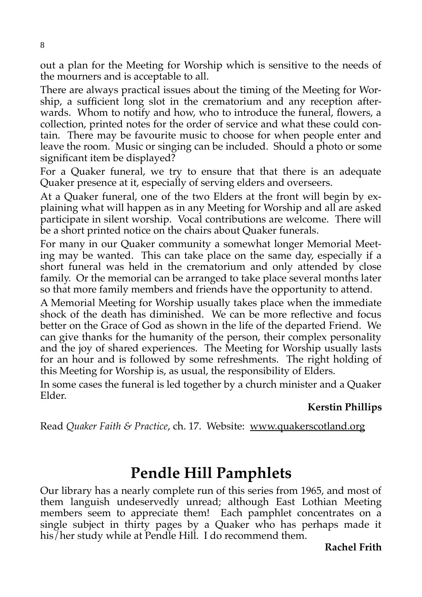out a plan for the Meeting for Worship which is sensitive to the needs of the mourners and is acceptable to all.

There are always practical issues about the timing of the Meeting for Worship, a sufficient long slot in the crematorium and any reception afterwards. Whom to notify and how, who to introduce the funeral, flowers, a collection, printed notes for the order of service and what these could contain. There may be favourite music to choose for when people enter and leave the room. Music or singing can be included. Should a photo or some significant item be displayed?

For a Quaker funeral, we try to ensure that that there is an adequate Quaker presence at it, especially of serving elders and overseers.

At a Quaker funeral, one of the two Elders at the front will begin by explaining what will happen as in any Meeting for Worship and all are asked participate in silent worship. Vocal contributions are welcome. There will be a short printed notice on the chairs about Quaker funerals.

For many in our Quaker community a somewhat longer Memorial Meeting may be wanted. This can take place on the same day, especially if a short funeral was held in the crematorium and only attended by close family. Or the memorial can be arranged to take place several months later so that more family members and friends have the opportunity to attend.

A Memorial Meeting for Worship usually takes place when the immediate shock of the death has diminished. We can be more reflective and focus better on the Grace of God as shown in the life of the departed Friend. We can give thanks for the humanity of the person, their complex personality and the joy of shared experiences. The Meeting for Worship usually lasts for an hour and is followed by some refreshments. The right holding of this Meeting for Worship is, as usual, the responsibility of Elders.

In some cases the funeral is led together by a church minister and a Quaker Elder.

#### **Kerstin Phillips**

Read *Quaker Faith & Practice*, ch. 17. Website: www.quakerscotland.org

## **Pendle Hill Pamphlets**

Our library has a nearly complete run of this series from 1965, and most of them languish undeservedly unread; although East Lothian Meeting members seem to appreciate them! Each pamphlet concentrates on a single subject in thirty pages by a Quaker who has perhaps made it his/her study while at Pendle Hill. I do recommend them.

8

**Rachel Frith**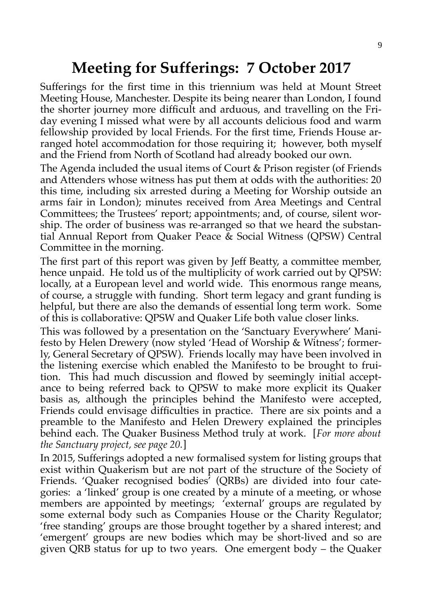## **Meeting for Sufferings: 7 October 2017**

Sufferings for the first time in this triennium was held at Mount Street Meeting House, Manchester. Despite its being nearer than London, I found the shorter journey more difficult and arduous, and travelling on the Friday evening I missed what were by all accounts delicious food and warm fellowship provided by local Friends. For the first time, Friends House arranged hotel accommodation for those requiring it; however, both myself and the Friend from North of Scotland had already booked our own.

The Agenda included the usual items of Court & Prison register (of Friends and Attenders whose witness has put them at odds with the authorities: 20 this time, including six arrested during a Meeting for Worship outside an arms fair in London); minutes received from Area Meetings and Central Committees; the Trustees' report; appointments; and, of course, silent worship. The order of business was re-arranged so that we heard the substantial Annual Report from Quaker Peace & Social Witness (QPSW) Central Committee in the morning.

The first part of this report was given by Jeff Beatty, a committee member, hence unpaid. He told us of the multiplicity of work carried out by QPSW: locally, at a European level and world wide. This enormous range means, of course, a struggle with funding. Short term legacy and grant funding is helpful, but there are also the demands of essential long term work. Some of this is collaborative: QPSW and Quaker Life both value closer links.

This was followed by a presentation on the 'Sanctuary Everywhere' Manifesto by Helen Drewery (now styled 'Head of Worship & Witness'; formerly, General Secretary of QPSW). Friends locally may have been involved in the listening exercise which enabled the Manifesto to be brought to fruition. This had much discussion and flowed by seemingly initial acceptance to being referred back to QPSW to make more explicit its Quaker basis as, although the principles behind the Manifesto were accepted, Friends could envisage difficulties in practice. There are six points and a preamble to the Manifesto and Helen Drewery explained the principles behind each. The Quaker Business Method truly at work. [*For more about the Sanctuary project, see page 20.*]

In 2015, Sufferings adopted a new formalised system for listing groups that exist within Quakerism but are not part of the structure of the Society of Friends. 'Quaker recognised bodies' (QRBs) are divided into four categories: a 'linked' group is one created by a minute of a meeting, or whose members are appointed by meetings; 'external' groups are regulated by some external body such as Companies House or the Charity Regulator; 'free standing' groups are those brought together by a shared interest; and 'emergent' groups are new bodies which may be short-lived and so are given QRB status for up to two years. One emergent body – the Quaker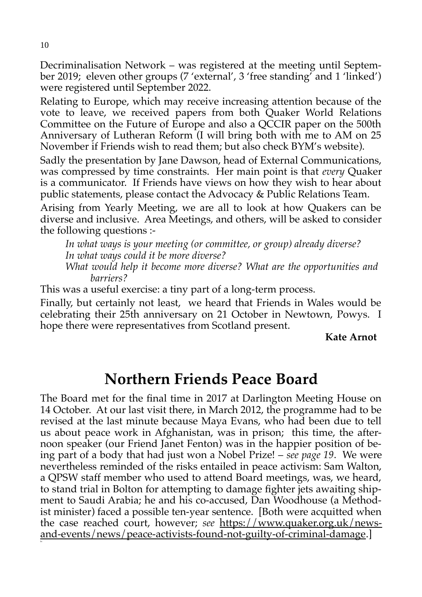Decriminalisation Network – was registered at the meeting until September 2019; eleven other groups (7 'external', 3 'free standing' and 1 'linked') were registered until September 2022.

Relating to Europe, which may receive increasing attention because of the vote to leave, we received papers from both Quaker World Relations Committee on the Future of Europe and also a QCCIR paper on the 500th Anniversary of Lutheran Reform (I will bring both with me to AM on 25 November if Friends wish to read them; but also check BYM's website).

Sadly the presentation by Jane Dawson, head of External Communications, was compressed by time constraints. Her main point is that *every* Quaker is a communicator. If Friends have views on how they wish to hear about public statements, please contact the Advocacy & Public Relations Team.

Arising from Yearly Meeting, we are all to look at how Quakers can be diverse and inclusive. Area Meetings, and others, will be asked to consider the following questions :-

*In what ways is your meeting (or committee, or group) already diverse? In what ways could it be more diverse? What would help it become more diverse? What are the opportunities and barriers?*

This was a useful exercise: a tiny part of a long-term process.

Finally, but certainly not least, we heard that Friends in Wales would be celebrating their 25th anniversary on 21 October in Newtown, Powys. I hope there were representatives from Scotland present.

#### **Kate Arnot**

## **Northern Friends Peace Board**

The Board met for the final time in 2017 at Darlington Meeting House on 14 October. At our last visit there, in March 2012, the programme had to be revised at the last minute because Maya Evans, who had been due to tell us about peace work in Afghanistan, was in prison; this time, the afternoon speaker (our Friend Janet Fenton) was in the happier position of being part of a body that had just won a Nobel Prize! – *see page 19*. We were nevertheless reminded of the risks entailed in peace activism: Sam Walton, a QPSW staff member who used to attend Board meetings, was, we heard, to stand trial in Bolton for attempting to damage fighter jets awaiting shipment to Saudi Arabia; he and his co-accused, Dan Woodhouse (a Methodist minister) faced a possible ten-year sentence. [Both were acquitted when the case reached court, however; *see* https://www.quaker.org.uk/newsand-events/news/peace-activists-found-not-guilty-of-criminal-damage.]

In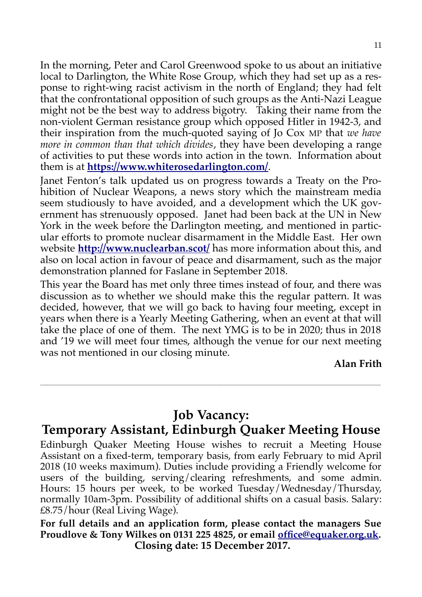In the morning, Peter and Carol Greenwood spoke to us about an initiative local to Darlington, the White Rose Group, which they had set up as a response to right-wing racist activism in the north of England; they had felt that the confrontational opposition of such groups as the Anti-Nazi League might not be the best way to address bigotry. Taking their name from the non-violent German resistance group which opposed Hitler in 1942-3, and their inspiration from the much-quoted saying of Jo Cox MP that *we have more in common than that which divides*, they have been developing a range of activities to put these words into action in the town. Information about them is at **<https://www.whiterosedarlington.com/>**.

Janet Fenton's talk updated us on progress towards a Treaty on the Prohibition of Nuclear Weapons, a news story which the mainstream media seem studiously to have avoided, and a development which the UK government has strenuously opposed. Janet had been back at the UN in New York in the week before the Darlington meeting, and mentioned in particular efforts to promote nuclear disarmament in the Middle East. Her own website **<http://www.nuclearban.scot/>** has more information about this, and also on local action in favour of peace and disarmament, such as the major demonstration planned for Faslane in September 2018.

This year the Board has met only three times instead of four, and there was discussion as to whether we should make this the regular pattern. It was decided, however, that we will go back to having four meeting, except in years when there is a Yearly Meeting Gathering, when an event at that will take the place of one of them. The next YMG is to be in 2020; thus in 2018 and '19 we will meet four times, although the venue for our next meeting was not mentioned in our closing minute.

 **Alan Frith**

## **Job Vacancy: Temporary Assistant, Edinburgh Quaker Meeting House**

**\_\_\_\_\_\_\_\_\_\_\_\_\_\_\_\_\_\_\_\_\_\_\_\_\_\_\_\_\_\_\_\_\_\_\_\_\_\_\_\_\_\_\_\_\_\_\_\_\_\_\_\_\_\_\_\_\_\_\_\_\_\_\_\_\_\_\_\_\_\_\_\_\_\_\_\_\_\_\_\_\_\_\_\_\_\_\_\_\_\_\_\_\_\_\_\_\_\_\_\_\_\_\_\_\_\_\_\_\_\_\_\_\_\_\_\_\_\_\_\_\_\_\_\_\_\_\_\_\_\_\_\_\_\_\_\_\_\_\_\_\_\_\_\_\_\_\_\_\_\_\_\_\_\_\_\_\_\_\_\_**

Edinburgh Quaker Meeting House wishes to recruit a Meeting House Assistant on a fixed-term, temporary basis, from early February to mid April 2018 (10 weeks maximum). Duties include providing a Friendly welcome for users of the building, serving/clearing refreshments, and some admin. Hours: 15 hours per week, to be worked Tuesday/Wednesday/Thursday, normally 10am-3pm. Possibility of additional shifts on a casual basis. Salary: £8.75/hour (Real Living Wage).

**For full details and an application form, please contact the managers Sue Proudlove & Tony Wilkes on 0131 225 4825, or email [office@equaker.org.uk.](mailto:office@equaker.org.uk) Closing date: 15 December 2017.**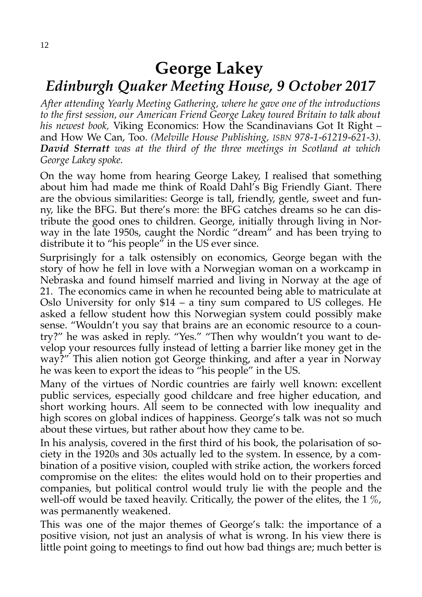## **George Lakey**  *Edinburgh Quaker Meeting House, 9 October 2017*

*After attending Yearly Meeting Gathering, where he gave one of the introductions to the first session, our American Friend George Lakey toured Britain to talk about his newest book,* Viking Economics: How the Scandinavians Got It Right – and How We Can, Too*. (Melville House Publishing, ISBN 978-1-61219-621-3). David Sterratt was at the third of the three meetings in Scotland at which George Lakey spoke.*

On the way home from hearing George Lakey, I realised that something about him had made me think of Roald Dahl's Big Friendly Giant. There are the obvious similarities: George is tall, friendly, gentle, sweet and funny, like the BFG. But there's more: the BFG catches dreams so he can distribute the good ones to children. George, initially through living in Norway in the late 1950s, caught the Nordic "dream" and has been trying to distribute it to "his people" in the US ever since.

Surprisingly for a talk ostensibly on economics, George began with the story of how he fell in love with a Norwegian woman on a workcamp in Nebraska and found himself married and living in Norway at the age of 21. The economics came in when he recounted being able to matriculate at Oslo University for only \$14 – a tiny sum compared to US colleges. He asked a fellow student how this Norwegian system could possibly make sense. "Wouldn't you say that brains are an economic resource to a country?" he was asked in reply. "Yes." "Then why wouldn't you want to develop your resources fully instead of letting a barrier like money get in the way?" This alien notion got George thinking, and after a year in Norway he was keen to export the ideas to "his people" in the US.

Many of the virtues of Nordic countries are fairly well known: excellent public services, especially good childcare and free higher education, and short working hours. All seem to be connected with low inequality and high scores on global indices of happiness. George's talk was not so much about these virtues, but rather about how they came to be.

In his analysis, covered in the first third of his book, the polarisation of society in the 1920s and 30s actually led to the system. In essence, by a combination of a positive vision, coupled with strike action, the workers forced compromise on the elites: the elites would hold on to their properties and companies, but political control would truly lie with the people and the well-off would be taxed heavily. Critically, the power of the elites, the  $1\%$ , was permanently weakened.

This was one of the major themes of George's talk: the importance of a positive vision, not just an analysis of what is wrong. In his view there is little point going to meetings to find out how bad things are; much better is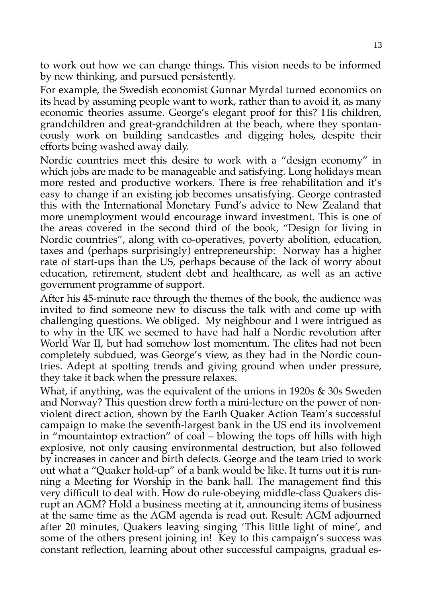to work out how we can change things. This vision needs to be informed by new thinking, and pursued persistently.

For example, the Swedish economist Gunnar Myrdal turned economics on its head by assuming people want to work, rather than to avoid it, as many economic theories assume. George's elegant proof for this? His children, grandchildren and great-grandchildren at the beach, where they spontaneously work on building sandcastles and digging holes, despite their efforts being washed away daily.

Nordic countries meet this desire to work with a "design economy" in which jobs are made to be manageable and satisfying. Long holidays mean more rested and productive workers. There is free rehabilitation and it's easy to change if an existing job becomes unsatisfying. George contrasted this with the International Monetary Fund's advice to New Zealand that more unemployment would encourage inward investment. This is one of the areas covered in the second third of the book, "Design for living in Nordic countries", along with co-operatives, poverty abolition, education, taxes and (perhaps surprisingly) entrepreneurship: Norway has a higher rate of start-ups than the US, perhaps because of the lack of worry about education, retirement, student debt and healthcare, as well as an active government programme of support.

After his 45-minute race through the themes of the book, the audience was invited to find someone new to discuss the talk with and come up with challenging questions. We obliged. My neighbour and I were intrigued as to why in the UK we seemed to have had half a Nordic revolution after World War II, but had somehow lost momentum. The elites had not been completely subdued, was George's view, as they had in the Nordic countries. Adept at spotting trends and giving ground when under pressure, they take it back when the pressure relaxes.

What, if anything, was the equivalent of the unions in 1920s & 30s Sweden and Norway? This question drew forth a mini-lecture on the power of nonviolent direct action, shown by the Earth Quaker Action Team's successful campaign to make the seventh-largest bank in the US end its involvement in "mountaintop extraction" of coal – blowing the tops off hills with high explosive, not only causing environmental destruction, but also followed by increases in cancer and birth defects. George and the team tried to work out what a "Quaker hold-up" of a bank would be like. It turns out it is running a Meeting for Worship in the bank hall. The management find this very difficult to deal with. How do rule-obeying middle-class Quakers disrupt an AGM? Hold a business meeting at it, announcing items of business at the same time as the AGM agenda is read out. Result: AGM adjourned after 20 minutes, Quakers leaving singing 'This little light of mine', and some of the others present joining in! Key to this campaign's success was constant reflection, learning about other successful campaigns, gradual es-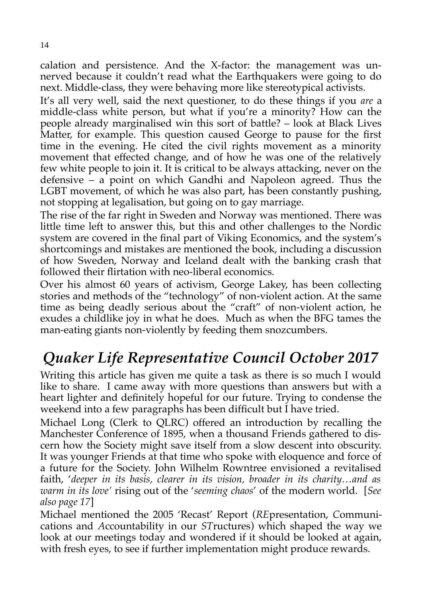calation and persistence. And the X-factor: the management was unnerved because it couldn't read what the Earthquakers were going to do next. Middle-class, they were behaving more like stereotypical activists.

It's all very well, said the next questioner, to do these things if you *are* a middle-class white person, but what if you're a minority? How can the people already marginalised win this sort of battle? – look at Black Lives Matter, for example. This question caused George to pause for the first time in the evening. He cited the civil rights movement as a minority movement that effected change, and of how he was one of the relatively few white people to join it. It is critical to be always attacking, never on the defensive – a point on which Gandhi and Napoleon agreed. Thus the LGBT movement, of which he was also part, has been constantly pushing, not stopping at legalisation, but going on to gay marriage.

The rise of the far right in Sweden and Norway was mentioned. There was little time left to answer this, but this and other challenges to the Nordic system are covered in the final part of Viking Economics, and the system's shortcomings and mistakes are mentioned the book, including a discussion of how Sweden, Norway and Iceland dealt with the banking crash that followed their flirtation with neo-liberal economics.

Over his almost 60 years of activism, George Lakey, has been collecting stories and methods of the "technology" of non-violent action. At the same time as being deadly serious about the "craft" of non-violent action, he exudes a childlike joy in what he does. Much as when the BFG tames the man-eating giants non-violently by feeding them snozcumbers.

# *Quaker Life Representative Council October 2017*

Writing this article has given me quite a task as there is so much I would like to share. I came away with more questions than answers but with a heart lighter and definitely hopeful for our future. Trying to condense the weekend into a few paragraphs has been difficult but I have tried.

Michael Long (Clerk to QLRC) offered an introduction by recalling the Manchester Conference of 1895, when a thousand Friends gathered to discern how the Society might save itself from a slow descent into obscurity. It was younger Friends at that time who spoke with eloquence and force of a future for the Society. John Wilhelm Rowntree envisioned a revitalised faith, '*deeper in its basis, clearer in its vision, broader in its charity…and as warm in its love'* rising out of the '*seeming chaos*' of the modern world. [*See also page 17*]

Michael mentioned the 2005 'Recast' Report (*RE*presentation, *C*ommunications and *A*ccountability in our *ST*ructures) which shaped the way we look at our meetings today and wondered if it should be looked at again, with fresh eyes, to see if further implementation might produce rewards.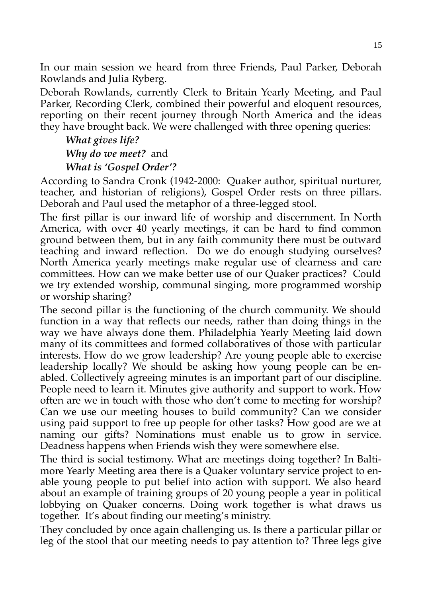In our main session we heard from three Friends, Paul Parker, Deborah Rowlands and Julia Ryberg.

Deborah Rowlands, currently Clerk to Britain Yearly Meeting, and Paul Parker, Recording Clerk, combined their powerful and eloquent resources, reporting on their recent journey through North America and the ideas they have brought back. We were challenged with three opening queries:

*What gives life? Why do we meet?* and *What is 'Gospel Order'?*

According to Sandra Cronk (1942-2000: Quaker author, spiritual nurturer, teacher, and historian of religions), Gospel Order rests on three pillars. Deborah and Paul used the metaphor of a three-legged stool.

The first pillar is our inward life of worship and discernment. In North America, with over 40 yearly meetings, it can be hard to find common ground between them, but in any faith community there must be outward teaching and inward reflection. Do we do enough studying ourselves? North America yearly meetings make regular use of clearness and care committees. How can we make better use of our Quaker practices? Could we try extended worship, communal singing, more programmed worship or worship sharing?

The second pillar is the functioning of the church community. We should function in a way that reflects our needs, rather than doing things in the way we have always done them. Philadelphia Yearly Meeting laid down many of its committees and formed collaboratives of those with particular interests. How do we grow leadership? Are young people able to exercise leadership locally? We should be asking how young people can be enabled. Collectively agreeing minutes is an important part of our discipline. People need to learn it. Minutes give authority and support to work. How often are we in touch with those who don't come to meeting for worship? Can we use our meeting houses to build community? Can we consider using paid support to free up people for other tasks? How good are we at naming our gifts? Nominations must enable us to grow in service. Deadness happens when Friends wish they were somewhere else.

The third is social testimony. What are meetings doing together? In Baltimore Yearly Meeting area there is a Quaker voluntary service project to enable young people to put belief into action with support. We also heard about an example of training groups of 20 young people a year in political lobbying on Quaker concerns. Doing work together is what draws us together. It's about finding our meeting's ministry.

They concluded by once again challenging us. Is there a particular pillar or leg of the stool that our meeting needs to pay attention to? Three legs give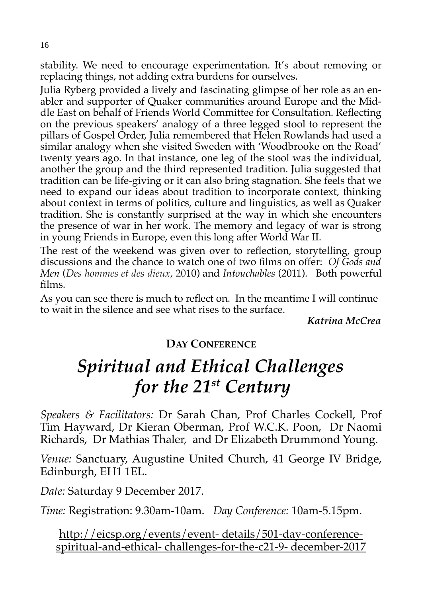stability. We need to encourage experimentation. It's about removing or replacing things, not adding extra burdens for ourselves.

Julia Ryberg provided a lively and fascinating glimpse of her role as an enabler and supporter of Quaker communities around Europe and the Middle East on behalf of Friends World Committee for Consultation. Reflecting on the previous speakers' analogy of a three legged stool to represent the pillars of Gospel Order, Julia remembered that Helen Rowlands had used a similar analogy when she visited Sweden with 'Woodbrooke on the Road' twenty years ago. In that instance, one leg of the stool was the individual, another the group and the third represented tradition. Julia suggested that tradition can be life-giving or it can also bring stagnation. She feels that we need to expand our ideas about tradition to incorporate context, thinking about context in terms of politics, culture and linguistics, as well as Quaker tradition. She is constantly surprised at the way in which she encounters the presence of war in her work. The memory and legacy of war is strong in young Friends in Europe, even this long after World War II.

The rest of the weekend was given over to reflection, storytelling, group discussions and the chance to watch one of two films on offer: *Of Gods and Men* (*Des hommes et des dieux*, 2010) and *Intouchables* (2011). Both powerful films.

As you can see there is much to reflect on. In the meantime I will continue to wait in the silence and see what rises to the surface.

*Katrina McCrea*

#### **DAY CONFERENCE**

# *Spiritual and Ethical Challenges for the 21st Century*

*Speakers & Facilitators:* Dr Sarah Chan, Prof Charles Cockell, Prof Tim Hayward, Dr Kieran Oberman, Prof W.C.K. Poon, Dr Naomi Richards, Dr Mathias Thaler, and Dr Elizabeth Drummond Young.

*Venue:* Sanctuary, Augustine United Church, 41 George IV Bridge, Edinburgh, EH1 1EL.

*Date:* Saturday 9 December 2017.

*Time:* Registration: 9.30am-10am. *Day Conference:* 10am-5.15pm.

[http://eicsp.org/events/event- details/501-day-conference](http://eicsp.org/events/event-details/501-day-conference-spiritual-and-ethical-challenges-for-the-c21-9-december-2017)[spiritual-and-ethical- challenges-for-the-c21-9- december-2017](http://eicsp.org/events/event-details/501-day-conference-spiritual-and-ethical-challenges-for-the-c21-9-december-2017)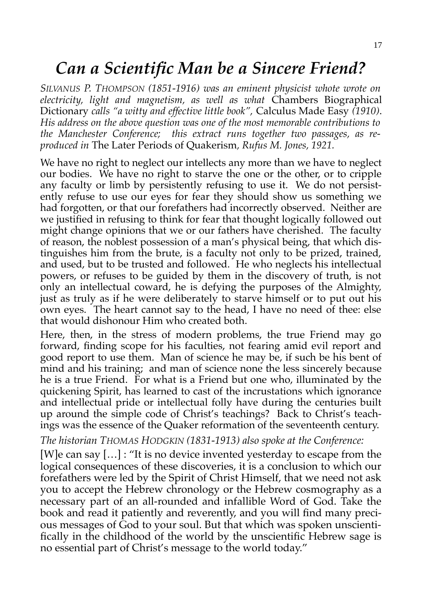# *Can a Scientific Man be a Sincere Friend?*

*SILVANUS P. THOMPSON (1851-1916) was an eminent physicist whote wrote on electricity, light and magnetism, as well as what* Chambers Biographical Dictionary *calls "a witty and effective little book",* Calculus Made Easy *(1910)*. *His address on the above question was one of the most memorable contributions to the Manchester Conference; this extract runs together two passages, as reproduced in* The Later Periods of Quakerism*, Rufus M. Jones, 1921.* 

We have no right to neglect our intellects any more than we have to neglect our bodies. We have no right to starve the one or the other, or to cripple any faculty or limb by persistently refusing to use it. We do not persistently refuse to use our eyes for fear they should show us something we had forgotten, or that our forefathers had incorrectly observed. Neither are we justified in refusing to think for fear that thought logically followed out might change opinions that we or our fathers have cherished. The faculty of reason, the noblest possession of a man's physical being, that which distinguishes him from the brute, is a faculty not only to be prized, trained, and used, but to be trusted and followed. He who neglects his intellectual powers, or refuses to be guided by them in the discovery of truth, is not only an intellectual coward, he is defying the purposes of the Almighty, just as truly as if he were deliberately to starve himself or to put out his own eyes. The heart cannot say to the head, I have no need of thee: else that would dishonour Him who created both.

Here, then, in the stress of modern problems, the true Friend may go forward, finding scope for his faculties, not fearing amid evil report and good report to use them. Man of science he may be, if such be his bent of mind and his training; and man of science none the less sincerely because he is a true Friend. For what is a Friend but one who, illuminated by the quickening Spirit, has learned to cast of the incrustations which ignorance and intellectual pride or intellectual folly have during the centuries built up around the simple code of Christ's teachings? Back to Christ's teachings was the essence of the Quaker reformation of the seventeenth century.

#### *The historian THOMAS HODGKIN (1831-1913) also spoke at the Conference:*

[W]e can say […] : "It is no device invented yesterday to escape from the logical consequences of these discoveries, it is a conclusion to which our forefathers were led by the Spirit of Christ Himself, that we need not ask you to accept the Hebrew chronology or the Hebrew cosmography as a necessary part of an all-rounded and infallible Word of God. Take the book and read it patiently and reverently, and you will find many precious messages of God to your soul. But that which was spoken unscientifically in the childhood of the world by the unscientific Hebrew sage is no essential part of Christ's message to the world today."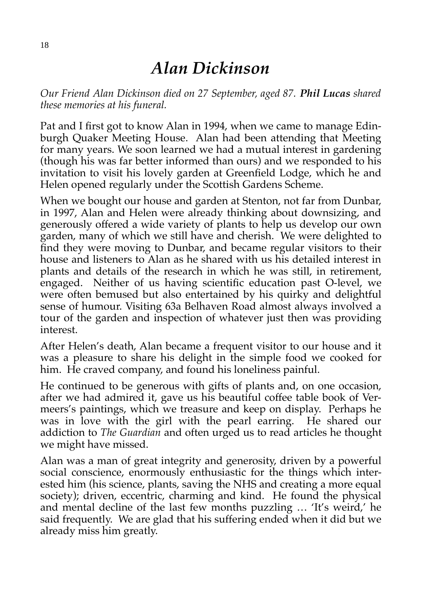# *Alan Dickinson*

*Our Friend Alan Dickinson died on 27 September, aged 87. Phil Lucas shared these memories at his funeral.*

Pat and I first got to know Alan in 1994, when we came to manage Edinburgh Quaker Meeting House. Alan had been attending that Meeting for many years. We soon learned we had a mutual interest in gardening (though his was far better informed than ours) and we responded to his invitation to visit his lovely garden at Greenfield Lodge, which he and Helen opened regularly under the Scottish Gardens Scheme.

When we bought our house and garden at Stenton, not far from Dunbar, in 1997, Alan and Helen were already thinking about downsizing, and generously offered a wide variety of plants to help us develop our own garden, many of which we still have and cherish. We were delighted to find they were moving to Dunbar, and became regular visitors to their house and listeners to Alan as he shared with us his detailed interest in plants and details of the research in which he was still, in retirement, engaged. Neither of us having scientific education past O-level, we were often bemused but also entertained by his quirky and delightful sense of humour. Visiting 63a Belhaven Road almost always involved a tour of the garden and inspection of whatever just then was providing interest.

After Helen's death, Alan became a frequent visitor to our house and it was a pleasure to share his delight in the simple food we cooked for him. He craved company, and found his loneliness painful.

He continued to be generous with gifts of plants and, on one occasion, after we had admired it, gave us his beautiful coffee table book of Vermeers's paintings, which we treasure and keep on display. Perhaps he was in love with the girl with the pearl earring. He shared our addiction to *The Guardian* and often urged us to read articles he thought we might have missed.

Alan was a man of great integrity and generosity, driven by a powerful social conscience, enormously enthusiastic for the things which interested him (his science, plants, saving the NHS and creating a more equal society); driven, eccentric, charming and kind. He found the physical and mental decline of the last few months puzzling … 'It's weird,' he said frequently. We are glad that his suffering ended when it did but we already miss him greatly.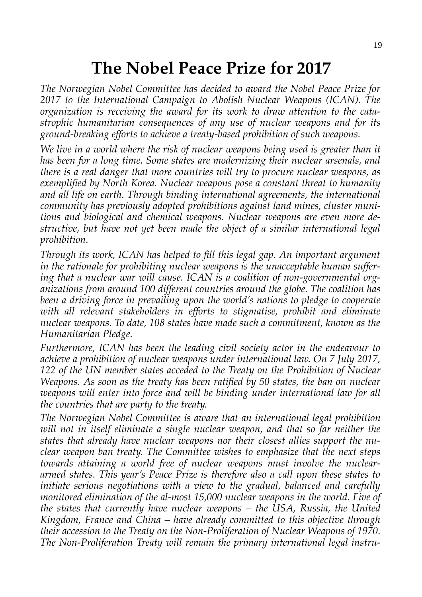# **The Nobel Peace Prize for 2017**

*The Norwegian Nobel Committee has decided to award the Nobel Peace Prize for 2017 to the International Campaign to Abolish Nuclear Weapons (ICAN). The organization is receiving the award for its work to draw attention to the catastrophic humanitarian consequences of any use of nuclear weapons and for its ground-breaking efforts to achieve a treaty-based prohibition of such weapons.*

*We live in a world where the risk of nuclear weapons being used is greater than it has been for a long time. Some states are modernizing their nuclear arsenals, and there is a real danger that more countries will try to procure nuclear weapons, as exemplified by North Korea. Nuclear weapons pose a constant threat to humanity and all life on earth. Through binding international agreements, the international community has previously adopted prohibitions against land mines, cluster munitions and biological and chemical weapons. Nuclear weapons are even more destructive, but have not yet been made the object of a similar international legal prohibition.*

*Through its work, ICAN has helped to fill this legal gap. An important argument in the rationale for prohibiting nuclear weapons is the unacceptable human suffering that a nuclear war will cause. ICAN is a coalition of non-governmental organizations from around 100 different countries around the globe. The coalition has been a driving force in prevailing upon the world's nations to pledge to cooperate with all relevant stakeholders in efforts to stigmatise, prohibit and eliminate nuclear weapons. To date, 108 states have made such a commitment, known as the Humanitarian Pledge.*

*Furthermore, ICAN has been the leading civil society actor in the endeavour to achieve a prohibition of nuclear weapons under international law. On 7 July 2017, 122 of the UN member states acceded to the Treaty on the Prohibition of Nuclear Weapons. As soon as the treaty has been ratified by 50 states, the ban on nuclear weapons will enter into force and will be binding under international law for all the countries that are party to the treaty.*

*The Norwegian Nobel Committee is aware that an international legal prohibition will not in itself eliminate a single nuclear weapon, and that so far neither the states that already have nuclear weapons nor their closest allies support the nuclear weapon ban treaty. The Committee wishes to emphasize that the next steps towards attaining a world free of nuclear weapons must involve the nucleararmed states. This year's Peace Prize is therefore also a call upon these states to initiate serious negotiations with a view to the gradual, balanced and carefully monitored elimination of the al-most 15,000 nuclear weapons in the world. Five of the states that currently have nuclear weapons – the USA, Russia, the United Kingdom, France and China – have already committed to this objective through their accession to the Treaty on the Non-Proliferation of Nuclear Weapons of 1970. The Non-Proliferation Treaty will remain the primary international legal instru-*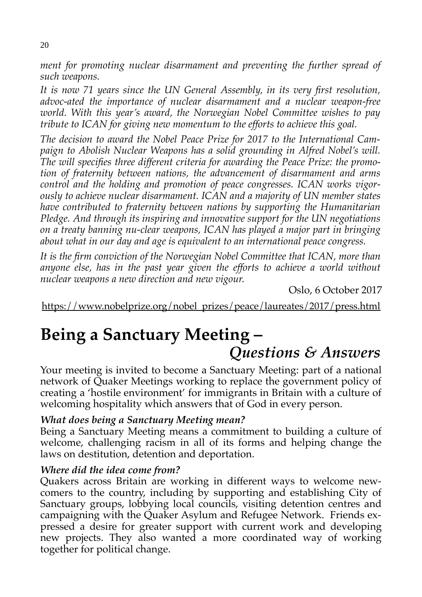*ment for promoting nuclear disarmament and preventing the further spread of such weapons.*

*It is now 71 years since the UN General Assembly, in its very first resolution, advoc-ated the importance of nuclear disarmament and a nuclear weapon-free world. With this year's award, the Norwegian Nobel Committee wishes to pay tribute to ICAN for giving new momentum to the efforts to achieve this goal.*

*The decision to award the Nobel Peace Prize for 2017 to the International Campaign to Abolish Nuclear Weapons has a solid grounding in Alfred Nobel's will. The will specifies three different criteria for awarding the Peace Prize: the promotion of fraternity between nations, the advancement of disarmament and arms control and the holding and promotion of peace congresses. ICAN works vigorously to achieve nuclear disarmament. ICAN and a majority of UN member states have contributed to fraternity between nations by supporting the Humanitarian Pledge. And through its inspiring and innovative support for the UN negotiations on a treaty banning nu-clear weapons, ICAN has played a major part in bringing about what in our day and age is equivalent to an international peace congress.*

*It is the firm conviction of the Norwegian Nobel Committee that ICAN, more than anyone else, has in the past year given the efforts to achieve a world without nuclear weapons a new direction and new vigour.*

Oslo, 6 October 2017

[https://www.nobelprize.org/nobel\\_prizes/peace/laureates/2017/press.html](https://www.nobelprize.org/nobel_prizes/peace/laureates/2017/press.html)

# **Being a Sanctuary Meeting –**  *Questions & Answers*

Your meeting is invited to become a Sanctuary Meeting: part of a national network of Quaker Meetings working to replace the government policy of creating a 'hostile environment' for immigrants in Britain with a culture of welcoming hospitality which answers that of God in every person.

#### *What does being a Sanctuary Meeting mean?*

Being a Sanctuary Meeting means a commitment to building a culture of welcome, challenging racism in all of its forms and helping change the laws on destitution, detention and deportation.

#### *Where did the idea come from?*

Quakers across Britain are working in different ways to welcome newcomers to the country, including by supporting and establishing City of Sanctuary groups, lobbying local councils, visiting detention centres and campaigning with the Quaker Asylum and Refugee Network. Friends expressed a desire for greater support with current work and developing new projects. They also wanted a more coordinated way of working together for political change.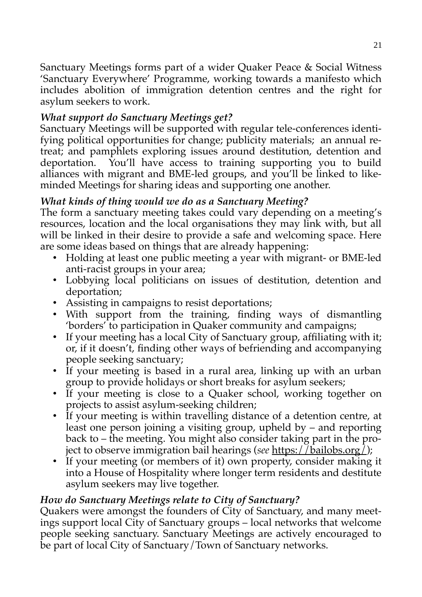Sanctuary Meetings forms part of a wider Quaker Peace & Social Witness 'Sanctuary Everywhere' Programme, working towards a manifesto which includes abolition of immigration detention centres and the right for asylum seekers to work.

#### *What support do Sanctuary Meetings get?*

Sanctuary Meetings will be supported with regular tele-conferences identifying political opportunities for change; publicity materials; an annual retreat; and pamphlets exploring issues around destitution, detention and deportation. You'll have access to training supporting you to build alliances with migrant and BME-led groups, and you'll be linked to likeminded Meetings for sharing ideas and supporting one another.

#### *What kinds of thing would we do as a Sanctuary Meeting?*

The form a sanctuary meeting takes could vary depending on a meeting's resources, location and the local organisations they may link with, but all will be linked in their desire to provide a safe and welcoming space. Here are some ideas based on things that are already happening:

- Holding at least one public meeting a year with migrant- or BME-led anti-racist groups in your area;
- Lobbying local politicians on issues of destitution, detention and deportation;
- Assisting in campaigns to resist deportations;
- With support from the training, finding ways of dismantling 'borders' to participation in Quaker community and campaigns;
- If your meeting has a local City of Sanctuary group, affiliating with it; or, if it doesn't, finding other ways of befriending and accompanying people seeking sanctuary;
- If your meeting is based in a rural area, linking up with an urban group to provide holidays or short breaks for asylum seekers;
- If your meeting is close to a Quaker school, working together on projects to assist asylum-seeking children;
- If your meeting is within travelling distance of a detention centre, at least one person joining a visiting group, upheld by – and reporting back to – the meeting. You might also consider taking part in the project to observe immigration bail hearings (*see* https://bailobs.org/);
- If your meeting (or members of it) own property, consider making it into a House of Hospitality where longer term residents and destitute asylum seekers may live together.

#### *How do Sanctuary Meetings relate to City of Sanctuary?*

Quakers were amongst the founders of City of Sanctuary, and many meetings support local City of Sanctuary groups – local networks that welcome people seeking sanctuary. Sanctuary Meetings are actively encouraged to be part of local City of Sanctuary/Town of Sanctuary networks.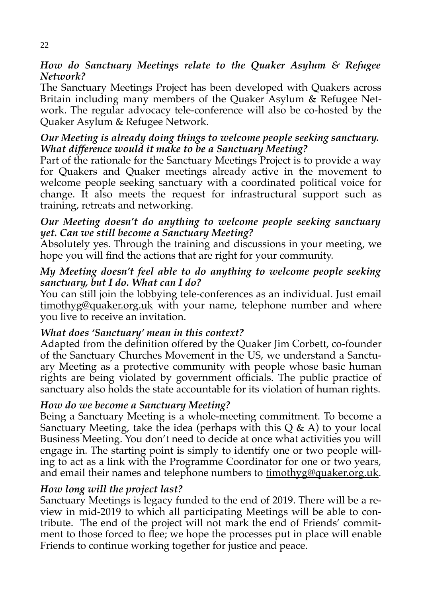#### *How do Sanctuary Meetings relate to the Quaker Asylum & Refugee Network?*

The Sanctuary Meetings Project has been developed with Quakers across Britain including many members of the Quaker Asylum & Refugee Network. The regular advocacy tele-conference will also be co-hosted by the Quaker Asylum & Refugee Network.

#### *Our Meeting is already doing things to welcome people seeking sanctuary. What difference would it make to be a Sanctuary Meeting?*

Part of the rationale for the Sanctuary Meetings Project is to provide a way for Quakers and Quaker meetings already active in the movement to welcome people seeking sanctuary with a coordinated political voice for change. It also meets the request for infrastructural support such as training, retreats and networking.

#### *Our Meeting doesn't do anything to welcome people seeking sanctuary yet. Can we still become a Sanctuary Meeting?*

Absolutely yes. Through the training and discussions in your meeting, we hope you will find the actions that are right for your community.

#### *My Meeting doesn't feel able to do anything to welcome people seeking sanctuary, but I do. What can I do?*

You can still join the lobbying tele-conferences as an individual. Just email timothyg@quaker.org.uk with your name, telephone number and where you live to receive an invitation.

#### *What does 'Sanctuary' mean in this context?*

Adapted from the definition offered by the Quaker Jim Corbett, co-founder of the Sanctuary Churches Movement in the US, we understand a Sanctuary Meeting as a protective community with people whose basic human rights are being violated by government officials. The public practice of sanctuary also holds the state accountable for its violation of human rights.

#### *How do we become a Sanctuary Meeting?*

Being a Sanctuary Meeting is a whole-meeting commitment. To become a Sanctuary Meeting, take the idea (perhaps with this  $Q \& A$ ) to your local Business Meeting. You don't need to decide at once what activities you will engage in. The starting point is simply to identify one or two people willing to act as a link with the Programme Coordinator for one or two years, and email their names and telephone numbers to  $\frac{1}{2}$  the squaker.org.uk.

#### *How long will the project last?*

Sanctuary Meetings is legacy funded to the end of 2019. There will be a review in mid-2019 to which all participating Meetings will be able to contribute. The end of the project will not mark the end of Friends' commitment to those forced to flee; we hope the processes put in place will enable Friends to continue working together for justice and peace.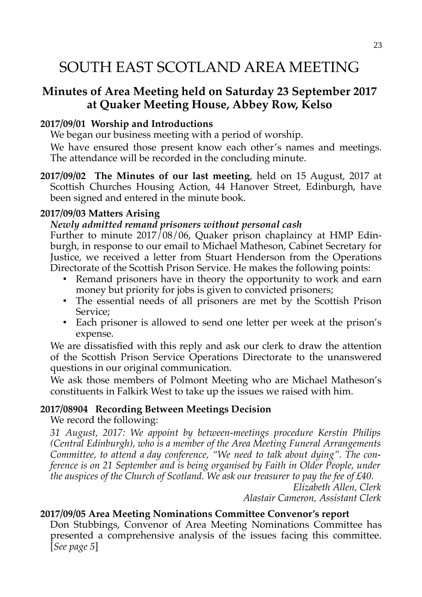## SOUTH EAST SCOTLAND AREA MEETING

#### **Minutes of Area Meeting held on Saturday 23 September 2017 at Quaker Meeting House, Abbey Row, Kelso**

#### **2017/09/01 Worship and Introductions**

We began our business meeting with a period of worship.

We have ensured those present know each other's names and meetings. The attendance will be recorded in the concluding minute.

**2017/09/02 The Minutes of our last meeting**, held on 15 August, 2017 at Scottish Churches Housing Action, 44 Hanover Street, Edinburgh, have been signed and entered in the minute book.

#### **2017/09/03 Matters Arising**

#### *Newly admitted remand prisoners without personal cash*

Further to minute 2017/08/06, Quaker prison chaplaincy at HMP Edinburgh, in response to our email to Michael Matheson, Cabinet Secretary for Justice, we received a letter from Stuart Henderson from the Operations Directorate of the Scottish Prison Service. He makes the following points:

- Remand prisoners have in theory the opportunity to work and earn money but priority for jobs is given to convicted prisoners;
- The essential needs of all prisoners are met by the Scottish Prison Service;
- Each prisoner is allowed to send one letter per week at the prison's expense.

We are dissatisfied with this reply and ask our clerk to draw the attention of the Scottish Prison Service Operations Directorate to the unanswered questions in our original communication.

We ask those members of Polmont Meeting who are Michael Matheson's constituents in Falkirk West to take up the issues we raised with him.

#### **2017/08904 Recording Between Meetings Decision**

We record the following:

*31 August, 2017: We appoint by between-meetings procedure Kerstin Philips (Central Edinburgh), who is a member of the Area Meeting Funeral Arrangements Committee, to attend a day conference, "We need to talk about dying". The conference is on 21 September and is being organised by Faith in Older People, under the auspices of the Church of Scotland. We ask our treasurer to pay the fee of £40.*

*Elizabeth Allen, Clerk Alastair Cameron, Assistant Clerk*

#### **2017/09/05 Area Meeting Nominations Committee Convenor's report**

Don Stubbings, Convenor of Area Meeting Nominations Committee has presented a comprehensive analysis of the issues facing this committee. [*See page 5*]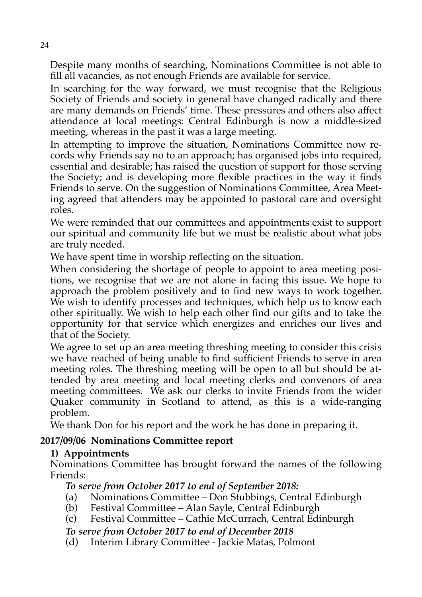Despite many months of searching, Nominations Committee is not able to fill all vacancies, as not enough Friends are available for service.

In searching for the way forward, we must recognise that the Religious Society of Friends and society in general have changed radically and there are many demands on Friends' time. These pressures and others also affect attendance at local meetings: Central Edinburgh is now a middle-sized meeting, whereas in the past it was a large meeting.

In attempting to improve the situation, Nominations Committee now records why Friends say no to an approach; has organised jobs into required, essential and desirable; has raised the question of support for those serving the Society; and is developing more flexible practices in the way it finds Friends to serve. On the suggestion of Nominations Committee, Area Meeting agreed that attenders may be appointed to pastoral care and oversight roles.

We were reminded that our committees and appointments exist to support our spiritual and community life but we must be realistic about what jobs are truly needed.

We have spent time in worship reflecting on the situation.

When considering the shortage of people to appoint to area meeting positions, we recognise that we are not alone in facing this issue. We hope to approach the problem positively and to find new ways to work together. We wish to identify processes and techniques, which help us to know each other spiritually. We wish to help each other find our gifts and to take the opportunity for that service which energizes and enriches our lives and that of the Society.

We agree to set up an area meeting threshing meeting to consider this crisis we have reached of being unable to find sufficient Friends to serve in area meeting roles. The threshing meeting will be open to all but should be attended by area meeting and local meeting clerks and convenors of area meeting committees. We ask our clerks to invite Friends from the wider Quaker community in Scotland to attend, as this is a wide-ranging problem.

We thank Don for his report and the work he has done in preparing it.

#### **2017/09/06 Nominations Committee report**

#### **1) Appointments**

Nominations Committee has brought forward the names of the following Friends:

#### *To serve from October 2017 to end of September 2018:*

- (a) Nominations Committee Don Stubbings, Central Edinburgh
- (b) Festival Committee Alan Sayle, Central Edinburgh
- (c) Festival Committee Cathie McCurrach, Central Edinburgh

#### *To serve from October 2017 to end of December 2018*

(d) Interim Library Committee - Jackie Matas, Polmont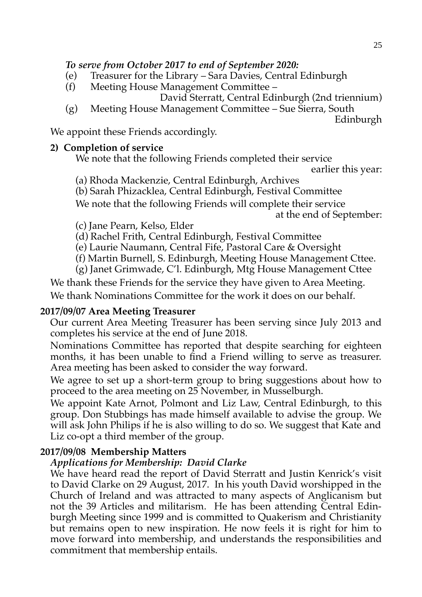#### *To serve from October 2017 to end of September 2020:*

- (e) Treasurer for the Library Sara Davies, Central Edinburgh
- (f) Meeting House Management Committee
	- David Sterratt, Central Edinburgh (2nd triennium)
- (g) Meeting House Management Committee Sue Sierra, South

Edinburgh

We appoint these Friends accordingly.

#### **2) Completion of service**

We note that the following Friends completed their service

earlier this year:

(a) Rhoda Mackenzie, Central Edinburgh, Archives

(b) Sarah Phizacklea, Central Edinburgh, Festival Committee

We note that the following Friends will complete their service

at the end of September:

(c) Jane Pearn, Kelso, Elder

(d) Rachel Frith, Central Edinburgh, Festival Committee

(e) Laurie Naumann, Central Fife, Pastoral Care & Oversight

(f) Martin Burnell, S. Edinburgh, Meeting House Management Cttee.

(g) Janet Grimwade, C'l. Edinburgh, Mtg House Management Cttee

We thank these Friends for the service they have given to Area Meeting.

We thank Nominations Committee for the work it does on our behalf.

#### **2017/09/07 Area Meeting Treasurer**

Our current Area Meeting Treasurer has been serving since July 2013 and completes his service at the end of June 2018.

Nominations Committee has reported that despite searching for eighteen months, it has been unable to find a Friend willing to serve as treasurer. Area meeting has been asked to consider the way forward.

We agree to set up a short-term group to bring suggestions about how to proceed to the area meeting on 25 November, in Musselburgh.

We appoint Kate Arnot, Polmont and Liz Law, Central Edinburgh, to this group. Don Stubbings has made himself available to advise the group. We will ask John Philips if he is also willing to do so. We suggest that Kate and Liz co-opt a third member of the group.

#### **2017/09/08 Membership Matters**

#### *Applications for Membership: David Clarke*

We have heard read the report of David Sterratt and Justin Kenrick's visit to David Clarke on 29 August, 2017. In his youth David worshipped in the Church of Ireland and was attracted to many aspects of Anglicanism but not the 39 Articles and militarism. He has been attending Central Edinburgh Meeting since 1999 and is committed to Quakerism and Christianity but remains open to new inspiration. He now feels it is right for him to move forward into membership, and understands the responsibilities and commitment that membership entails.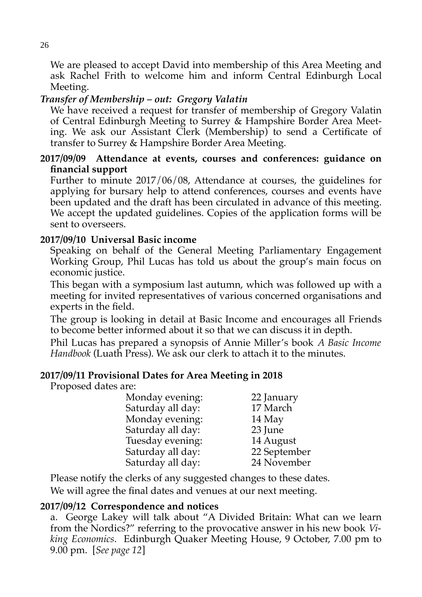We are pleased to accept David into membership of this Area Meeting and ask Rachel Frith to welcome him and inform Central Edinburgh Local Meeting.

#### *Transfer of Membership – out: Gregory Valatin*

We have received a request for transfer of membership of Gregory Valatin of Central Edinburgh Meeting to Surrey & Hampshire Border Area Meeting. We ask our Assistant Clerk (Membership) to send a Certificate of transfer to Surrey & Hampshire Border Area Meeting.

#### **2017/09/09 Attendance at events, courses and conferences: guidance on financial support**

Further to minute 2017/06/08, Attendance at courses, the guidelines for applying for bursary help to attend conferences, courses and events have been updated and the draft has been circulated in advance of this meeting. We accept the updated guidelines. Copies of the application forms will be sent to overseers.

#### **2017/09/10 Universal Basic income**

Speaking on behalf of the General Meeting Parliamentary Engagement Working Group, Phil Lucas has told us about the group's main focus on economic justice.

This began with a symposium last autumn, which was followed up with a meeting for invited representatives of various concerned organisations and experts in the field.

The group is looking in detail at Basic Income and encourages all Friends to become better informed about it so that we can discuss it in depth.

Phil Lucas has prepared a synopsis of Annie Miller's book *A Basic Income Handbook* (Luath Press). We ask our clerk to attach it to the minutes.

#### **2017/09/11 Provisional Dates for Area Meeting in 2018**

Proposed dates are:

| Monday evening:   | 22 January   |
|-------------------|--------------|
| Saturday all day: | 17 March     |
| Monday evening:   | 14 May       |
| Saturday all day: | 23 June      |
| Tuesday evening:  | 14 August    |
| Saturday all day: | 22 September |
| Saturday all day: | 24 November  |

Please notify the clerks of any suggested changes to these dates. We will agree the final dates and venues at our next meeting.

#### **2017/09/12 Correspondence and notices**

a. George Lakey will talk about "A Divided Britain: What can we learn from the Nordics?" referring to the provocative answer in his new book *Viking Economics*. Edinburgh Quaker Meeting House, 9 October, 7.00 pm to 9.00 pm. [*See page 12*]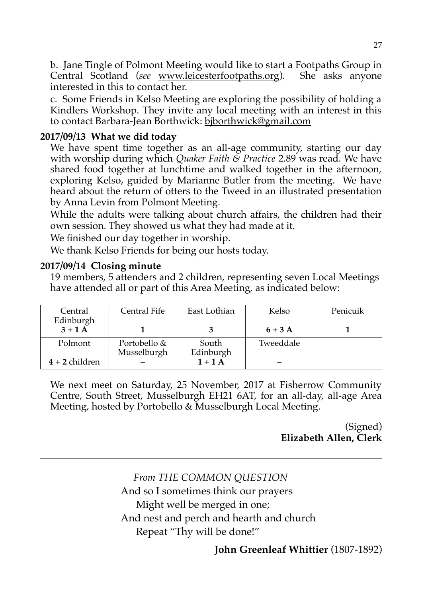b. Jane Tingle of Polmont Meeting would like to start a Footpaths Group in Central Scotland (*see* www.leicesterfootpaths.org). She asks anyone interested in this to contact her.

c. Some Friends in Kelso Meeting are exploring the possibility of holding a Kindlers Workshop. They invite any local meeting with an interest in this to contact Barbara-Jean Borthwick: bjborthwick@gmail.com

#### **2017/09/13 What we did today**

We have spent time together as an all-age community, starting our day with worship during which *Quaker Faith & Practice* 2.89 was read. We have shared food together at lunchtime and walked together in the afternoon, exploring Kelso, guided by Marianne Butler from the meeting. We have heard about the return of otters to the Tweed in an illustrated presentation by Anna Levin from Polmont Meeting.

While the adults were talking about church affairs, the children had their own session. They showed us what they had made at it.

We finished our day together in worship.

We thank Kelso Friends for being our hosts today.

#### **2017/09/14 Closing minute**

19 members, 5 attenders and 2 children, representing seven Local Meetings have attended all or part of this Area Meeting, as indicated below:

| Central<br>Edinburgh | Central Fife | East Lothian | Kelso     | Penicuik |
|----------------------|--------------|--------------|-----------|----------|
| $3+1A$               |              |              | $6 + 3$ A |          |
| Polmont              | Portobello & | South        | Tweeddale |          |
|                      | Musselburgh  | Edinburgh    |           |          |
| $4 + 2$ children     |              | $1+1A$       |           |          |

We next meet on Saturday, 25 November, 2017 at Fisherrow Community Centre, South Street, Musselburgh EH21 6AT, for an all-day, all-age Area Meeting, hosted by Portobello & Musselburgh Local Meeting.

> (Signed) **Elizabeth Allen, Clerk**

*From THE COMMON QUESTION* And so I sometimes think our prayers Might well be merged in one; And nest and perch and hearth and church Repeat "Thy will be done!"

**John Greenleaf Whittier** (1807-1892)